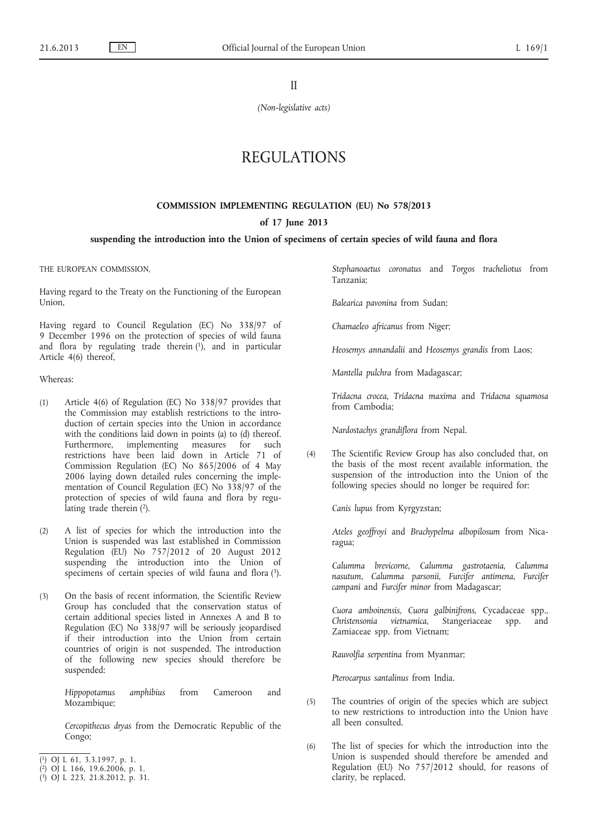II

*(Non-legislative acts)*

# REGULATIONS

#### **COMMISSION IMPLEMENTING REGULATION (EU) No 578/2013**

#### **of 17 June 2013**

#### **suspending the introduction into the Union of specimens of certain species of wild fauna and flora**

THE EUROPEAN COMMISSION,

Having regard to the Treaty on the Functioning of the European Union,

Having regard to Council Regulation (EC) No 338/97 of 9 December 1996 on the protection of species of wild fauna and flora by regulating trade therein (1), and in particular Article 4(6) thereof,

Whereas:

- (1) Article 4(6) of Regulation (EC) No 338/97 provides that the Commission may establish restrictions to the introduction of certain species into the Union in accordance with the conditions laid down in points (a) to (d) thereof. Furthermore, implementing measures for such restrictions have been laid down in Article 71 of Commission Regulation (EC) No 865/2006 of 4 May 2006 laying down detailed rules concerning the implementation of Council Regulation (EC) No 338/97 of the protection of species of wild fauna and flora by regulating trade therein (2).
- (2) A list of species for which the introduction into the Union is suspended was last established in Commission Regulation (EU) No 757/2012 of 20 August 2012 suspending the introduction into the Union of specimens of certain species of wild fauna and flora (3).
- (3) On the basis of recent information, the Scientific Review Group has concluded that the conservation status of certain additional species listed in Annexes A and B to Regulation (EC) No 338/97 will be seriously jeopardised if their introduction into the Union from certain countries of origin is not suspended. The introduction of the following new species should therefore be suspended:

*Hippopotamus amphibius* from Cameroon and Mozambique;

*Cercopithecus dryas* from the Democratic Republic of the Congo;

*Stephanoaetus coronatus* and *Torgos tracheliotus* from Tanzania;

*Balearica pavonina* from Sudan;

*Chamaeleo africanus* from Niger;

*Heosemys annandalii* and *Heosemys grandis* from Laos;

*Mantella pulchra* from Madagascar;

*Tridacna crocea*, *Tridacna maxima* and *Tridacna squamosa* from Cambodia;

*Nardostachys grandiflora* from Nepal.

(4) The Scientific Review Group has also concluded that, on the basis of the most recent available information, the suspension of the introduction into the Union of the following species should no longer be required for:

*Canis lupus* from Kyrgyzstan;

*Ateles geoffroyi* and *Brachypelma albopilosum* from Nicaragua;

*Calumma brevicorne*, *Calumma gastrotaenia*, *Calumma nasutum*, *Calumma parsonii*, *Furcifer antimena*, *Furcifer campani* and *Furcifer minor* from Madagascar;

*Cuora amboinensis*, *Cuora galbinifrons*, Cycadaceae spp., *Christensonia vietnamica*, Stangeriaceae spp. and Zamiaceae spp. from Vietnam;

*Rauvolfia serpentina* from Myanmar;

*Pterocarpus santalinus* from India.

- (5) The countries of origin of the species which are subject to new restrictions to introduction into the Union have all been consulted.
- (6) The list of species for which the introduction into the Union is suspended should therefore be amended and Regulation (EU) No 757/2012 should, for reasons of clarity, be replaced.

<sup>(</sup> 1) OJ L 61, 3.3.1997, p. 1.

<sup>(</sup> 2) OJ L 166, 19.6.2006, p. 1.

<sup>(</sup> 3) OJ L 223, 21.8.2012, p. 31.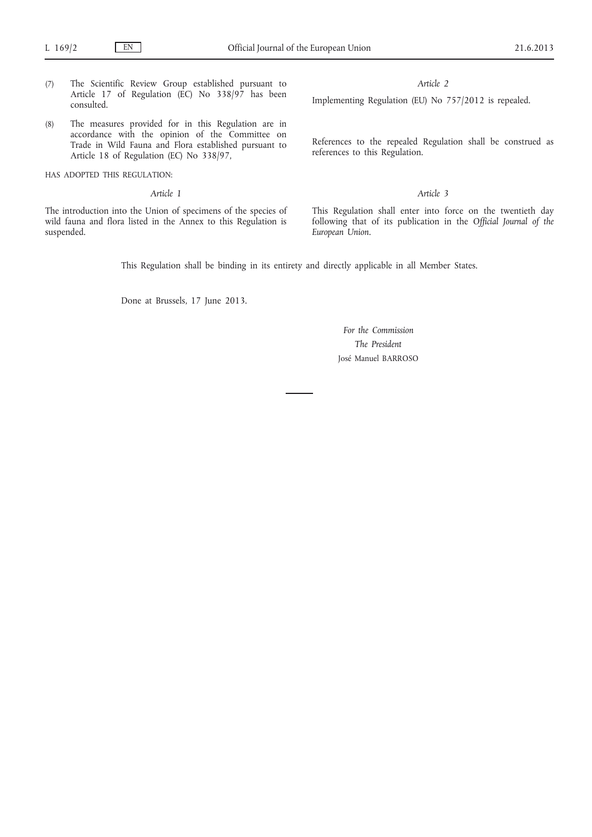- (7) The Scientific Review Group established pursuant to Article 17 of Regulation (EC) No 338/97 has been consulted.
- (8) The measures provided for in this Regulation are in accordance with the opinion of the Committee on Trade in Wild Fauna and Flora established pursuant to Article 18 of Regulation (EC) No 338/97,
- HAS ADOPTED THIS REGULATION:
	- *Article 1*

The introduction into the Union of specimens of the species of wild fauna and flora listed in the Annex to this Regulation is suspended.

#### *Article 2*

Implementing Regulation (EU) No 757/2012 is repealed.

References to the repealed Regulation shall be construed as references to this Regulation.

### *Article 3*

This Regulation shall enter into force on the twentieth day following that of its publication in the *Official Journal of the European Union*.

This Regulation shall be binding in its entirety and directly applicable in all Member States.

Done at Brussels, 17 June 2013.

*For the Commission The President* José Manuel BARROSO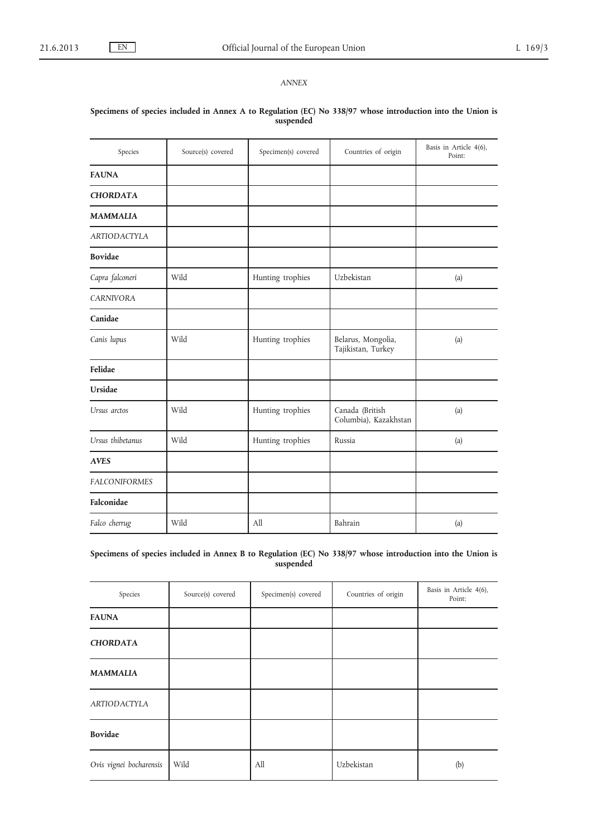*ANNEX*

# Species Source(s) covered Specimen(s) covered Countries of origin Basis in Article 4(6), Point: **FAUNA** *CHORDATA MAMMALIA ARTIODACTYLA* **Bovidae** *Capra falconeri* Wild Hunting trophies Uzbekistan (a) *CARNIVORA* **Canidae** *Canis lupus* | Wild | Hunting trophies | Belarus, Mongolia, Tajikistan, Turkey (a) **Felidae Ursidae** *Ursus arctos* Wild Hunting trophies Canada (British Columbia), Kazakhstan (a) *Ursus thibetanus* Wild Hunting trophies Russia (a) *AVES FALCONIFORMES* **Falconidae** *Falco cherrug* **Wild All All** Bahrain (a)

## **Specimens of species included in Annex A to Regulation (EC) No 338/97 whose introduction into the Union is suspended**

**Specimens of species included in Annex B to Regulation (EC) No 338/97 whose introduction into the Union is suspended**

| Species                 | Source(s) covered | Specimen(s) covered | Countries of origin | Basis in Article 4(6),<br>Point: |
|-------------------------|-------------------|---------------------|---------------------|----------------------------------|
| <b>FAUNA</b>            |                   |                     |                     |                                  |
| <b>CHORDATA</b>         |                   |                     |                     |                                  |
| <b>MAMMALIA</b>         |                   |                     |                     |                                  |
| <b>ARTIODACTYLA</b>     |                   |                     |                     |                                  |
| <b>Bovidae</b>          |                   |                     |                     |                                  |
| Ovis vignei bocharensis | Wild              | All                 | Uzbekistan          | (b)                              |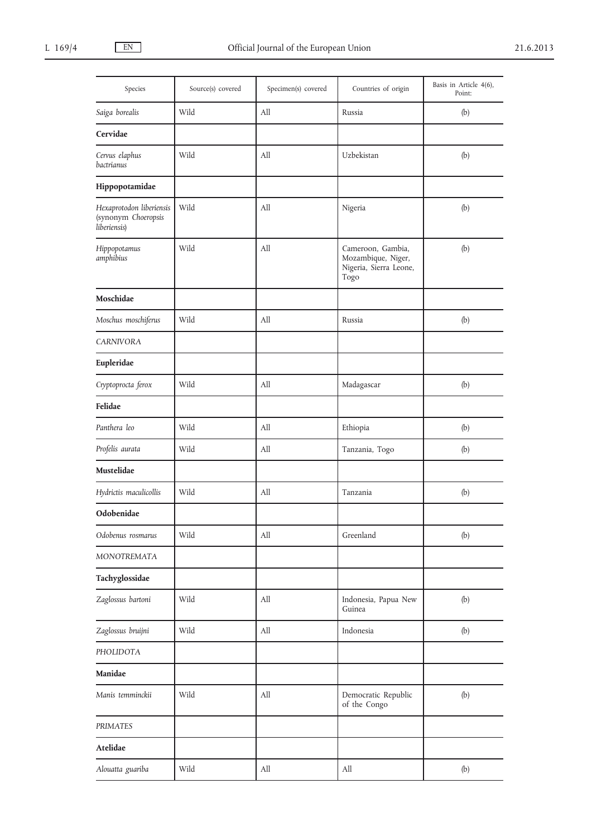| Species                                                         | Source(s) covered | Specimen(s) covered              | Countries of origin                                                       | Basis in Article 4(6),<br>Point: |
|-----------------------------------------------------------------|-------------------|----------------------------------|---------------------------------------------------------------------------|----------------------------------|
| Saiga borealis                                                  | Wild              | All                              | Russia                                                                    | (b)                              |
| Cervidae                                                        |                   |                                  |                                                                           |                                  |
| Cervus elaphus<br>bactrianus                                    | Wild              | All                              | Uzbekistan                                                                | (b)                              |
| Hippopotamidae                                                  |                   |                                  |                                                                           |                                  |
| Hexaprotodon liberiensis<br>(synonym Choeropsis<br>liberiensis) | Wild              | All                              | Nigeria                                                                   | (b)                              |
| Hippopotamus<br>amphibius                                       | Wild              | All                              | Cameroon, Gambia,<br>Mozambique, Niger,<br>Nigeria, Sierra Leone,<br>Togo | (b)                              |
| Moschidae                                                       |                   |                                  |                                                                           |                                  |
| Moschus moschiferus                                             | Wild              | All                              | Russia                                                                    | (b)                              |
| <b>CARNIVORA</b>                                                |                   |                                  |                                                                           |                                  |
| Eupleridae                                                      |                   |                                  |                                                                           |                                  |
| Cryptoprocta ferox                                              | Wild              | All                              | Madagascar                                                                | (b)                              |
| Felidae                                                         |                   |                                  |                                                                           |                                  |
| Panthera leo                                                    | Wild              | All                              | Ethiopia                                                                  | (b)                              |
| Profelis aurata                                                 | Wild              | All                              | Tanzania, Togo                                                            | (b)                              |
| Mustelidae                                                      |                   |                                  |                                                                           |                                  |
| Hydrictis maculicollis                                          | Wild              | All                              | Tanzania                                                                  | (b)                              |
| Odobenidae                                                      |                   |                                  |                                                                           |                                  |
| Odobenus rosmarus                                               | Wild              | All                              | Greenland                                                                 | (b)                              |
| MONOTREMATA                                                     |                   |                                  |                                                                           |                                  |
| Tachyglossidae                                                  |                   |                                  |                                                                           |                                  |
| Zaglossus bartoni                                               | Wild              | All                              | Indonesia, Papua New<br>Guinea                                            | (b)                              |
| Zaglossus bruijni                                               | Wild              | All                              | Indonesia                                                                 | (b)                              |
| PHOLIDOTA                                                       |                   |                                  |                                                                           |                                  |
| Manidae                                                         |                   |                                  |                                                                           |                                  |
| Manis temminckii                                                | Wild              | $\mathop{\mathrm{All}}\nolimits$ | Democratic Republic<br>of the Congo                                       | (b)                              |
| <b>PRIMATES</b>                                                 |                   |                                  |                                                                           |                                  |
| Atelidae                                                        |                   |                                  |                                                                           |                                  |
| Alouatta guariba                                                | Wild              | All                              | All                                                                       | (b)                              |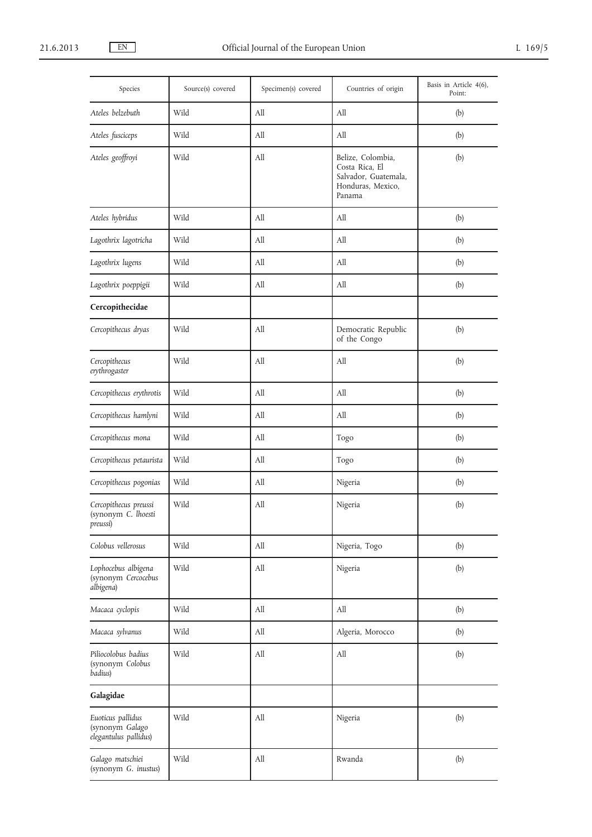| Species                                                       | Source(s) covered | Specimen(s) covered | Countries of origin                                                                        | Basis in Article 4(6),<br>Point: |
|---------------------------------------------------------------|-------------------|---------------------|--------------------------------------------------------------------------------------------|----------------------------------|
| Ateles belzebuth                                              | Wild              | All                 | All                                                                                        | (b)                              |
| Ateles fusciceps                                              | Wild              | All                 | All                                                                                        | (b)                              |
| Ateles geoffroyi                                              | Wild              | All                 | Belize, Colombia,<br>Costa Rica, El<br>Salvador, Guatemala,<br>Honduras, Mexico,<br>Panama | (b)                              |
| Ateles hybridus                                               | Wild              | All                 | All                                                                                        | (b)                              |
| Lagothrix lagotricha                                          | Wild              | All                 | All                                                                                        | (b)                              |
| Lagothrix lugens                                              | Wild              | All                 | All                                                                                        | (b)                              |
| Lagothrix poeppigii                                           | Wild              | All                 | All                                                                                        | (b)                              |
| Cercopithecidae                                               |                   |                     |                                                                                            |                                  |
| Cercopithecus dryas                                           | Wild              | All                 | Democratic Republic<br>of the Congo                                                        | (b)                              |
| Cercopithecus<br>erythrogaster                                | Wild              | All                 | All                                                                                        | (b)                              |
| Cercopithecus erythrotis                                      | Wild              | All                 | All                                                                                        | (b)                              |
| Cercopithecus hamlyni                                         | Wild              | All                 | All                                                                                        | (b)                              |
| Cercopithecus mona                                            | Wild              | All                 | Togo                                                                                       | (b)                              |
| Cercopithecus petaurista                                      | Wild              | All                 | Togo                                                                                       | (b)                              |
| Cercopithecus pogonias                                        | Wild              | All                 | Nigeria                                                                                    | (b)                              |
| Cercopithecus preussi<br>(synonym C. lhoesti<br>preussi)      | Wild              | All                 | Nigeria                                                                                    | (b)                              |
| Colobus vellerosus                                            | Wild              | All                 | Nigeria, Togo                                                                              | (b)                              |
| Lophocebus albigena<br>(synonym Cercocebus<br>albigena)       | Wild              | All                 | Nigeria                                                                                    | (b)                              |
| Macaca cyclopis                                               | Wild              | All                 | All                                                                                        | (b)                              |
| Macaca sylvanus                                               | Wild              | All                 | Algeria, Morocco                                                                           | (b)                              |
| Piliocolobus badius<br>(synonym Colobus<br>badius)            | Wild              | All                 | All                                                                                        | (b)                              |
| Galagidae                                                     |                   |                     |                                                                                            |                                  |
| Euoticus pallidus<br>(synonym Galago<br>elegantulus pallidus) | Wild              | All                 | Nigeria                                                                                    | (b)                              |
| Galago matschiei<br>(synonym G. inustus)                      | Wild              | All                 | Rwanda                                                                                     | (b)                              |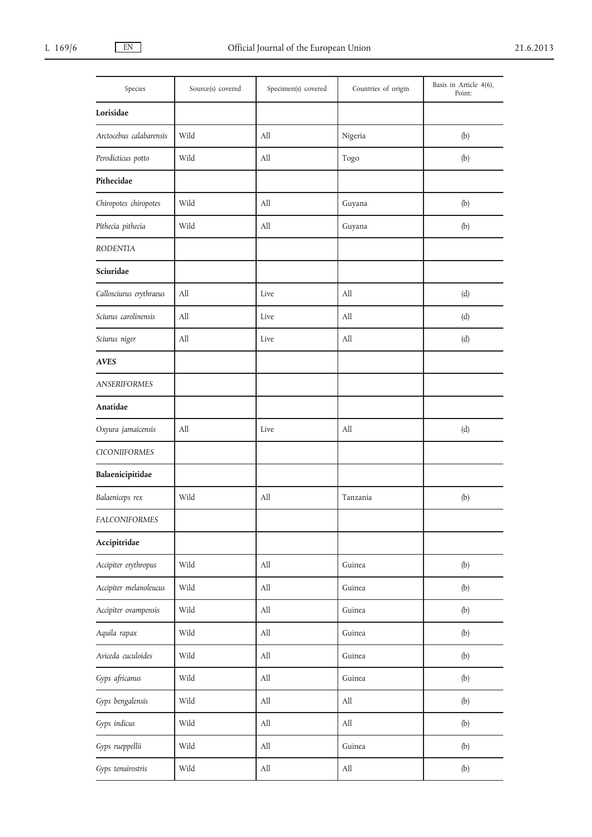| Species                 | Source(s) covered | Specimen(s) covered              | Countries of origin              | Basis in Article 4(6),<br>Point: |
|-------------------------|-------------------|----------------------------------|----------------------------------|----------------------------------|
| Lorisidae               |                   |                                  |                                  |                                  |
| Arctocebus calabarensis | Wild              | All                              | Nigeria                          | (b)                              |
| Perodicticus potto      | Wild              | All                              | Togo                             | (b)                              |
| Pithecidae              |                   |                                  |                                  |                                  |
| Chiropotes chiropotes   | Wild              | All                              | Guyana                           | (b)                              |
| Pithecia pithecia       | Wild              | All                              | Guyana                           | (b)                              |
| <b>RODENTIA</b>         |                   |                                  |                                  |                                  |
| Sciuridae               |                   |                                  |                                  |                                  |
| Callosciurus erythraeus | All               | Live                             | All                              | (d)                              |
| Sciurus carolinensis    | All               | Live                             | All                              | (d)                              |
| Sciurus niger           | All               | Live                             | All                              | (d)                              |
| <b>AVES</b>             |                   |                                  |                                  |                                  |
| <b>ANSERIFORMES</b>     |                   |                                  |                                  |                                  |
| Anatidae                |                   |                                  |                                  |                                  |
| Oxyura jamaicensis      | All               | Live                             | All                              | (d)                              |
| <b>CICONIIFORMES</b>    |                   |                                  |                                  |                                  |
| Balaenicipitidae        |                   |                                  |                                  |                                  |
| Balaeniceps rex         | Wild              | All                              | Tanzania                         | (b)                              |
| FALCONIFORMES           |                   |                                  |                                  |                                  |
| Accipitridae            |                   |                                  |                                  |                                  |
| Accipiter erythropus    | Wild              | $\mathop{\mathrm{All}}\nolimits$ | Guinea                           | (b)                              |
| Accipiter melanoleucus  | Wild              | $\mathop{\mathrm{All}}\nolimits$ | Guinea                           | (b)                              |
| Accipiter ovampensis    | Wild              | $\mathop{\mathrm{All}}\nolimits$ | Guinea                           | (b)                              |
| Aquila rapax            | Wild              | $\mathop{\mathrm{All}}\nolimits$ | Guinea                           | (b)                              |
| Aviceda cuculoides      | Wild              | $\mathop{\mathrm{All}}\nolimits$ | Guinea                           | (b)                              |
| Gyps africanus          | Wild              | $\mathop{\mathrm{All}}\nolimits$ | Guinea                           | (b)                              |
| Gyps bengalensis        | Wild              | $\mathop{\mathrm{All}}\nolimits$ | All                              | (b)                              |
| Gyps indicus            | Wild              | $\mathop{\mathrm{All}}\nolimits$ | All                              | (b)                              |
| Gyps rueppellii         | Wild              | $\mathop{\mathrm{All}}\nolimits$ | Guinea                           | (b)                              |
| Gyps tenuirostris       | Wild              | $\mathop{\mathrm{All}}\nolimits$ | $\mathop{\mathrm{All}}\nolimits$ | (b)                              |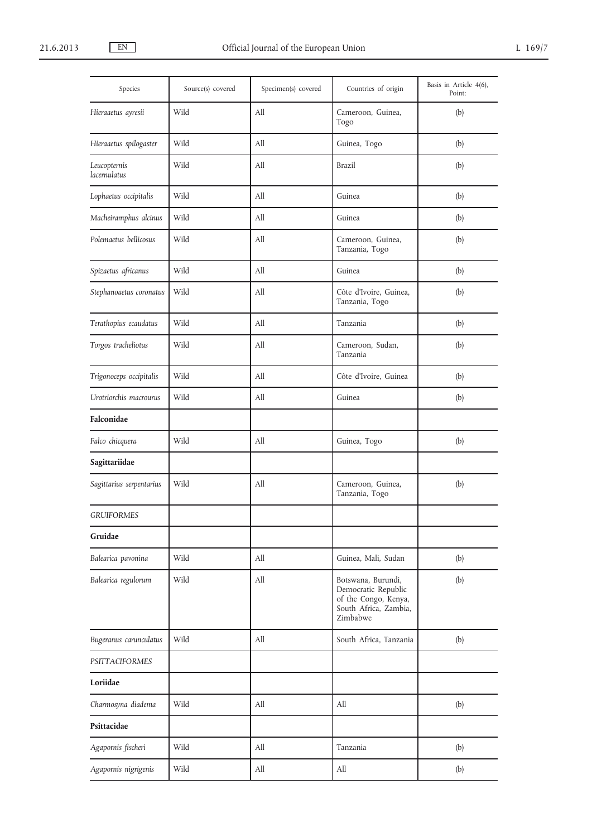| Species                      | Source(s) covered | Specimen(s) covered | Countries of origin                                                                                    | Basis in Article 4(6),<br>Point: |
|------------------------------|-------------------|---------------------|--------------------------------------------------------------------------------------------------------|----------------------------------|
| Hieraaetus ayresii           | Wild              | All                 | Cameroon, Guinea,<br>Togo                                                                              | (b)                              |
| Hieraaetus spilogaster       | Wild              | All                 | Guinea, Togo                                                                                           | (b)                              |
| Leucopternis<br>lacernulatus | Wild              | All                 | Brazil                                                                                                 | (b)                              |
| Lophaetus occipitalis        | Wild              | All                 | Guinea                                                                                                 | (b)                              |
| Macheiramphus alcinus        | Wild              | All                 | Guinea                                                                                                 | (b)                              |
| Polemaetus bellicosus        | Wild              | All                 | Cameroon, Guinea,<br>Tanzania, Togo                                                                    | (b)                              |
| Spizaetus africanus          | Wild              | All                 | Guinea                                                                                                 | (b)                              |
| Stephanoaetus coronatus      | Wild              | All                 | Côte d'Ivoire, Guinea,<br>Tanzania, Togo                                                               | (b)                              |
| Terathopius ecaudatus        | Wild              | All                 | Tanzania                                                                                               | (b)                              |
| Torgos tracheliotus          | Wild              | All                 | Cameroon, Sudan,<br>Tanzania                                                                           | (b)                              |
| Trigonoceps occipitalis      | Wild              | All                 | Côte d'Ivoire, Guinea                                                                                  | (b)                              |
| Urotriorchis macrourus       | Wild              | All                 | Guinea                                                                                                 | (b)                              |
| Falconidae                   |                   |                     |                                                                                                        |                                  |
| Falco chicquera              | Wild              | All                 | Guinea, Togo                                                                                           | (b)                              |
| Sagittariidae                |                   |                     |                                                                                                        |                                  |
| Sagittarius serpentarius     | Wild              | All                 | Cameroon, Guinea,<br>Tanzania, Togo                                                                    | (b)                              |
| <b>GRUIFORMES</b>            |                   |                     |                                                                                                        |                                  |
| Gruidae                      |                   |                     |                                                                                                        |                                  |
| Balearica pavonina           | Wild              | All                 | Guinea, Mali, Sudan                                                                                    | (b)                              |
| Balearica regulorum          | Wild              | All                 | Botswana, Burundi,<br>Democratic Republic<br>of the Congo, Kenya,<br>South Africa, Zambia,<br>Zimbabwe | (b)                              |
| Bugeranus carunculatus       | Wild              | All                 | South Africa, Tanzania                                                                                 | (b)                              |
| <b>PSITTACIFORMES</b>        |                   |                     |                                                                                                        |                                  |
| Loriidae                     |                   |                     |                                                                                                        |                                  |
| Charmosyna diadema           | Wild              | All                 | All                                                                                                    | (b)                              |
| Psittacidae                  |                   |                     |                                                                                                        |                                  |
| Agapornis fischeri           | Wild              | All                 | Tanzania                                                                                               | (b)                              |
| Agapornis nigrigenis         | Wild              | All                 | All                                                                                                    | (b)                              |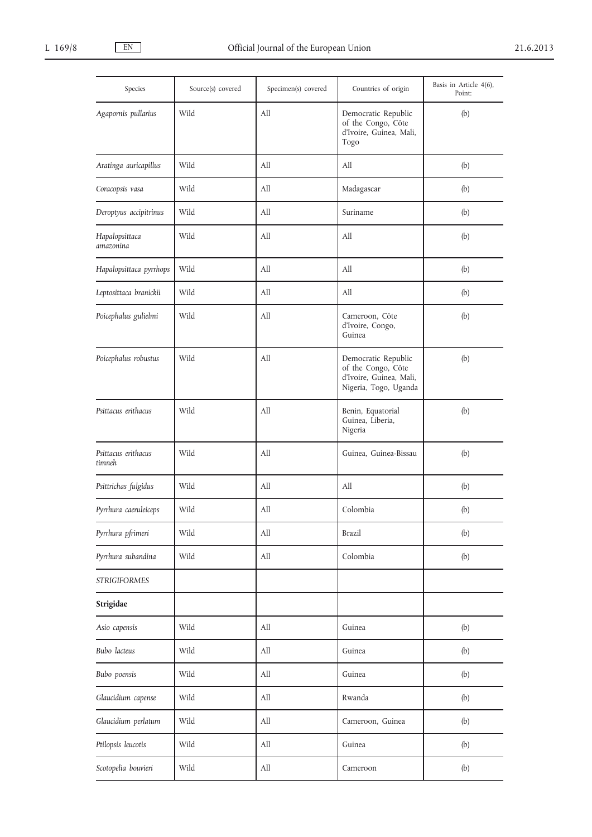| Species                       | Source(s) covered | Specimen(s) covered              | Countries of origin                                                                           | Basis in Article 4(6),<br>Point: |
|-------------------------------|-------------------|----------------------------------|-----------------------------------------------------------------------------------------------|----------------------------------|
| Agapornis pullarius           | Wild              | All                              | Democratic Republic<br>of the Congo, Côte<br>d'Ivoire, Guinea, Mali,<br>Togo                  | (b)                              |
| Aratinga auricapillus         | Wild              | All                              | All                                                                                           | (b)                              |
| Coracopsis vasa               | Wild              | All                              | Madagascar                                                                                    | (b)                              |
| Deroptyus accipitrinus        | Wild              | All                              | Suriname                                                                                      | (b)                              |
| Hapalopsittaca<br>amazonina   | Wild              | All                              | All                                                                                           | (b)                              |
| Hapalopsittaca pyrrhops       | Wild              | All                              | All                                                                                           | (b)                              |
| Leptosittaca branickii        | Wild              | All                              | All                                                                                           | (b)                              |
| Poicephalus gulielmi          | Wild              | All                              | Cameroon, Côte<br>d'Ivoire, Congo,<br>Guinea                                                  | (b)                              |
| Poicephalus robustus          | Wild              | All                              | Democratic Republic<br>of the Congo, Côte<br>d'Ivoire, Guinea, Mali,<br>Nigeria, Togo, Uganda | (b)                              |
| Psittacus erithacus           | Wild              | All                              | Benin, Equatorial<br>Guinea, Liberia,<br>Nigeria                                              | (b)                              |
| Psittacus erithacus<br>timneh | Wild              | All                              | Guinea, Guinea-Bissau                                                                         | (b)                              |
| Psittrichas fulgidus          | Wild              | All                              | All                                                                                           | (b)                              |
| Pyrrhura caeruleiceps         | Wild              | All                              | Colombia                                                                                      | (b)                              |
| Pyrrhura pfrimeri             | Wild              | All                              | Brazil                                                                                        | (b)                              |
| Pyrrhura subandina            | Wild              | All                              | Colombia                                                                                      | (b)                              |
| <b>STRIGIFORMES</b>           |                   |                                  |                                                                                               |                                  |
| Strigidae                     |                   |                                  |                                                                                               |                                  |
| Asio capensis                 | Wild              | All                              | Guinea                                                                                        | (b)                              |
| Bubo lacteus                  | Wild              | All                              | Guinea                                                                                        | (b)                              |
| Bubo poensis                  | Wild              | All                              | Guinea                                                                                        | (b)                              |
| Glaucidium capense            | Wild              | All                              | Rwanda                                                                                        | (b)                              |
| Glaucidium perlatum           | Wild              | All                              | Cameroon, Guinea                                                                              | (b)                              |
| Ptilopsis leucotis            | Wild              | $\mathop{\mathrm{All}}\nolimits$ | Guinea                                                                                        | (b)                              |
| Scotopelia bouvieri           | Wild              | All                              | Cameroon                                                                                      | (b)                              |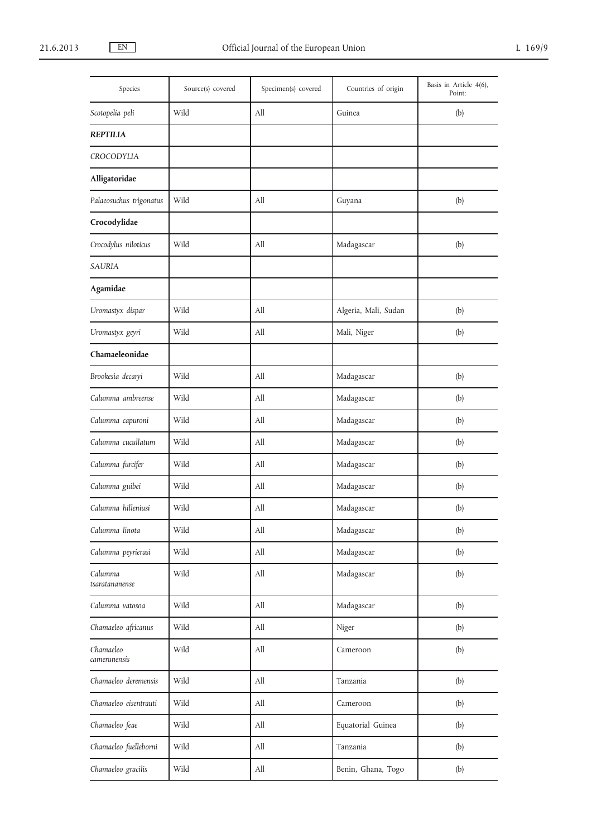| Species                   | Source(s) covered | Specimen(s) covered              | Countries of origin  | Basis in Article 4(6),<br>Point: |
|---------------------------|-------------------|----------------------------------|----------------------|----------------------------------|
| Scotopelia peli           | Wild              | All                              | Guinea               | (b)                              |
| <b>REPTILIA</b>           |                   |                                  |                      |                                  |
| <b>CROCODYLIA</b>         |                   |                                  |                      |                                  |
| Alligatoridae             |                   |                                  |                      |                                  |
| Palaeosuchus trigonatus   | Wild              | All                              | Guyana               | (b)                              |
| Crocodylidae              |                   |                                  |                      |                                  |
| Crocodylus niloticus      | Wild              | All                              | Madagascar           | (b)                              |
| <b>SAURIA</b>             |                   |                                  |                      |                                  |
| <b>Agamidae</b>           |                   |                                  |                      |                                  |
| Uromastyx dispar          | Wild              | All                              | Algeria, Mali, Sudan | (b)                              |
| Uromastyx geyri           | Wild              | All                              | Mali, Niger          | (b)                              |
| Chamaeleonidae            |                   |                                  |                      |                                  |
| Brookesia decaryi         | Wild              | All                              | Madagascar           | (b)                              |
| Calumma ambreense         | Wild              | All                              | Madagascar           | (b)                              |
| Calumma capuroni          | Wild              | All                              | Madagascar           | (b)                              |
| Calumma cucullatum        | Wild              | All                              | Madagascar           | (b)                              |
| Calumma furcifer          | Wild              | All                              | Madagascar           | (b)                              |
| Calumma guibei            | Wild              | All                              | Madagascar           | (b)                              |
| Calumma hilleniusi        | Wild              | All                              | Madagascar           | (b)                              |
| Calumma linota            | Wild              | $\mathop{\mathrm{All}}\nolimits$ | Madagascar           | (b)                              |
| Calumma peyrierasi        | Wild              | All                              | Madagascar           | (b)                              |
| Calumma<br>tsaratananense | Wild              | All                              | Madagascar           | (b)                              |
| Calumma vatosoa           | Wild              | All                              | Madagascar           | (b)                              |
| Chamaeleo africanus       | Wild              | All                              | Niger                | (b)                              |
| Chamaeleo<br>camerunensis | Wild              | All                              | Cameroon             | (b)                              |
| Chamaeleo deremensis      | Wild              | All                              | Tanzania             | (b)                              |
| Chamaeleo eisentrauti     | Wild              | $\rm All$                        | Cameroon             | (b)                              |
| Chamaeleo feae            | Wild              | All                              | Equatorial Guinea    | (b)                              |
| Chamaeleo fuelleborni     | Wild              | All                              | Tanzania             | (b)                              |
| Chamaeleo gracilis        | Wild              | All                              | Benin, Ghana, Togo   | (b)                              |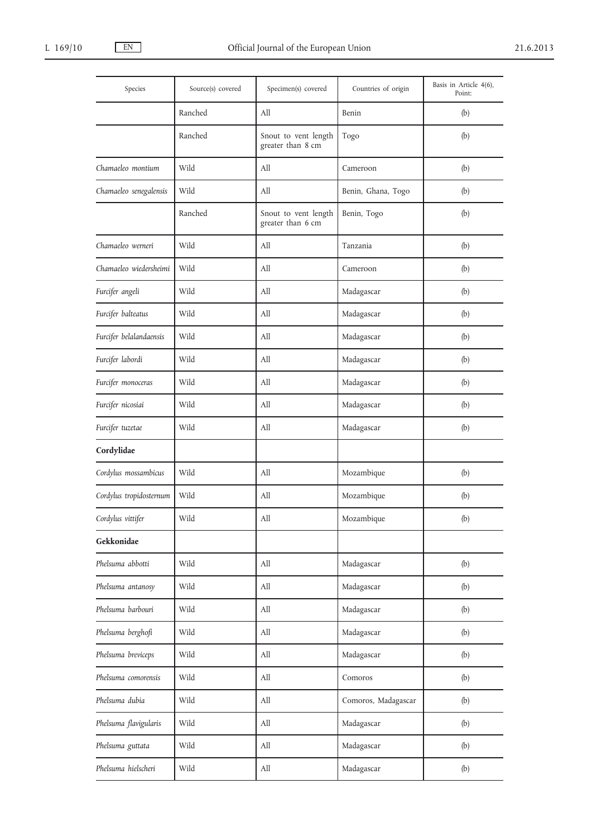| Species                 | Source(s) covered | Specimen(s) covered                       | Countries of origin | Basis in Article 4(6),<br>Point: |
|-------------------------|-------------------|-------------------------------------------|---------------------|----------------------------------|
|                         | Ranched           | All                                       | Benin               | (b)                              |
|                         | Ranched           | Snout to vent length<br>greater than 8 cm | Togo                | (b)                              |
| Chamaeleo montium       | Wild              | All                                       | Cameroon            | (b)                              |
| Chamaeleo senegalensis  | Wild              | All                                       | Benin, Ghana, Togo  | (b)                              |
|                         | Ranched           | Snout to vent length<br>greater than 6 cm | Benin, Togo         | (b)                              |
| Chamaeleo werneri       | Wild              | All                                       | Tanzania            | (b)                              |
| Chamaeleo wiedersheimi  | Wild              | All                                       | Cameroon            | (b)                              |
| Furcifer angeli         | Wild              | All                                       | Madagascar          | (b)                              |
| Furcifer balteatus      | Wild              | All                                       | Madagascar          | (b)                              |
| Furcifer belalandaensis | Wild              | All                                       | Madagascar          | (b)                              |
| Furcifer labordi        | Wild              | All                                       | Madagascar          | (b)                              |
| Furcifer monoceras      | Wild              | All                                       | Madagascar          | (b)                              |
| Furcifer nicosiai       | Wild              | All                                       | Madagascar          | (b)                              |
| Furcifer tuzetae        | Wild              | All                                       | Madagascar          | (b)                              |
| Cordylidae              |                   |                                           |                     |                                  |
| Cordylus mossambicus    | Wild              | All                                       | Mozambique          | (b)                              |
| Cordylus tropidosternum | Wild              | All                                       | Mozambique          | (b)                              |
| Cordylus vittifer       | Wild              | All                                       | Mozambique          | (b)                              |
| Gekkonidae              |                   |                                           |                     |                                  |
| Phelsuma abbotti        | Wild              | All                                       | Madagascar          | (b)                              |
| Phelsuma antanosy       | Wild              | All                                       | Madagascar          | (b)                              |
| Phelsuma barbouri       | Wild              | All                                       | Madagascar          | (b)                              |
| Phelsuma berghofi       | Wild              | All                                       | Madagascar          | (b)                              |
| Phelsuma breviceps      | Wild              | All                                       | Madagascar          | (b)                              |
| Phelsuma comorensis     | Wild              | All                                       | Comoros             | (b)                              |
| Phelsuma dubia          | Wild              | All                                       | Comoros, Madagascar | (b)                              |
| Phelsuma flavigularis   | Wild              | All                                       | Madagascar          | (b)                              |
| Phelsuma guttata        | Wild              | All                                       | Madagascar          | (b)                              |
| Phelsuma hielscheri     | Wild              | All                                       | Madagascar          | (b)                              |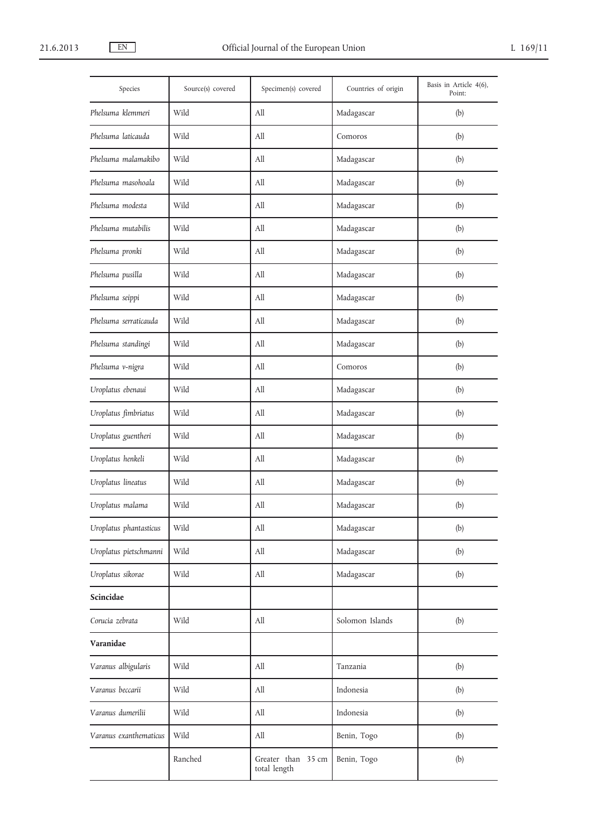| Species                | Source(s) covered | Specimen(s) covered                | Countries of origin | Basis in Article 4(6),<br>Point: |
|------------------------|-------------------|------------------------------------|---------------------|----------------------------------|
| Phelsuma klemmeri      | Wild              | All                                | Madagascar          | (b)                              |
| Phelsuma laticauda     | Wild              | All                                | Comoros             | (b)                              |
| Phelsuma malamakibo    | Wild              | All                                | Madagascar          | (b)                              |
| Phelsuma masohoala     | Wild              | All                                | Madagascar          | (b)                              |
| Phelsuma modesta       | Wild              | All                                | Madagascar          | (b)                              |
| Phelsuma mutabilis     | Wild              | All                                | Madagascar          | (b)                              |
| Phelsuma pronki        | Wild              | All                                | Madagascar          | (b)                              |
| Phelsuma pusilla       | Wild              | All                                | Madagascar          | (b)                              |
| Phelsuma seippi        | Wild              | All                                | Madagascar          | (b)                              |
| Phelsuma serraticauda  | Wild              | All                                | Madagascar          | (b)                              |
| Phelsuma standingi     | Wild              | All                                | Madagascar          | (b)                              |
| Phelsuma v-nigra       | Wild              | All                                | Comoros             | (b)                              |
| Uroplatus ebenaui      | Wild              | All                                | Madagascar          | (b)                              |
| Uroplatus fimbriatus   | Wild              | All                                | Madagascar          | (b)                              |
| Uroplatus guentheri    | Wild              | All                                | Madagascar          | (b)                              |
| Uroplatus henkeli      | Wild              | All                                | Madagascar          | (b)                              |
| Uroplatus lineatus     | Wild              | All                                | Madagascar          | (b)                              |
| Uroplatus malama       | Wild              | All                                | Madagascar          | (b)                              |
| Uroplatus phantasticus | Wild              | All                                | Madagascar          | (b)                              |
| Uroplatus pietschmanni | Wild              | All                                | Madagascar          | (b)                              |
| Uroplatus sikorae      | Wild              | All                                | Madagascar          | (b)                              |
| Scincidae              |                   |                                    |                     |                                  |
| Corucia zebrata        | Wild              | All                                | Solomon Islands     | (b)                              |
| Varanidae              |                   |                                    |                     |                                  |
| Varanus albigularis    | Wild              | All                                | Tanzania            | (b)                              |
| Varanus beccarii       | Wild              | All                                | Indonesia           | (b)                              |
| Varanus dumerilii      | Wild              | All                                | Indonesia           | (b)                              |
| Varanus exanthematicus | Wild              | All                                | Benin, Togo         | (b)                              |
|                        | Ranched           | Greater than 35 cm<br>total length | Benin, Togo         | (b)                              |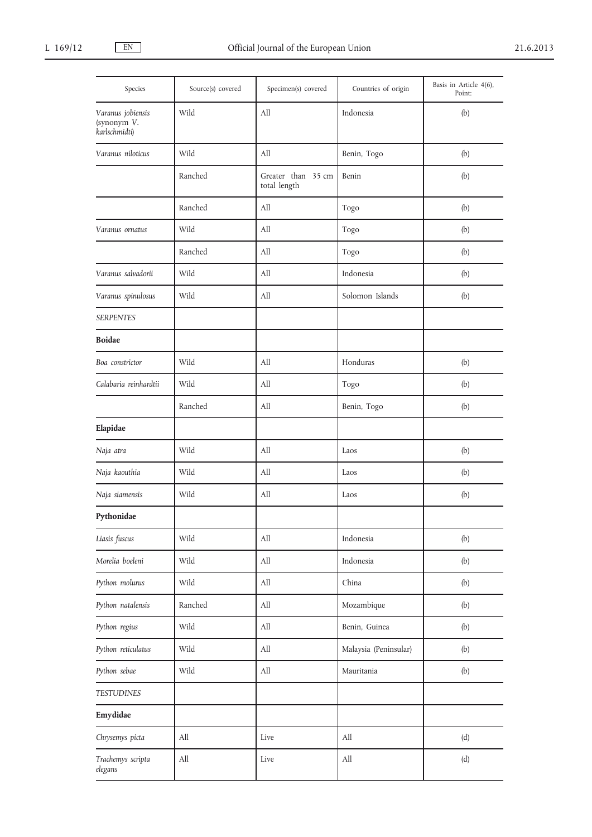| Species                                           | Source(s) covered | Specimen(s) covered                | Countries of origin              | Basis in Article 4(6),<br>Point: |
|---------------------------------------------------|-------------------|------------------------------------|----------------------------------|----------------------------------|
| Varanus jobiensis<br>(synonym V.<br>karlschmidti) | Wild              | All                                | Indonesia                        | (b)                              |
| Varanus niloticus                                 | Wild              | All                                | Benin, Togo                      | (b)                              |
|                                                   | Ranched           | Greater than 35 cm<br>total length | Benin                            | (b)                              |
|                                                   | Ranched           | All                                | Togo                             | (b)                              |
| Varanus ornatus                                   | Wild              | All                                | Togo                             | (b)                              |
|                                                   | Ranched           | All                                | Togo                             | (b)                              |
| Varanus salvadorii                                | Wild              | All                                | Indonesia                        | (b)                              |
| Varanus spinulosus                                | Wild              | All                                | Solomon Islands                  | (b)                              |
| <b>SERPENTES</b>                                  |                   |                                    |                                  |                                  |
| <b>Boidae</b>                                     |                   |                                    |                                  |                                  |
| Boa constrictor                                   | Wild              | All                                | Honduras                         | (b)                              |
| Calabaria reinhardtii                             | Wild              | All                                | Togo                             | (b)                              |
|                                                   | Ranched           | All                                | Benin, Togo                      | (b)                              |
| Elapidae                                          |                   |                                    |                                  |                                  |
| Naja atra                                         | Wild              | All                                | Laos                             | (b)                              |
| Naja kaouthia                                     | Wild              | All                                | Laos                             | (b)                              |
| Naja siamensis                                    | Wild              | All                                | Laos                             | (b)                              |
| Pythonidae                                        |                   |                                    |                                  |                                  |
| Liasis fuscus                                     | Wild              | All                                | Indonesia                        | (b)                              |
| Morelia boeleni                                   | Wild              | All                                | Indonesia                        | (b)                              |
| Python molurus                                    | Wild              | All                                | China                            | (b)                              |
| Python natalensis                                 | Ranched           | $\mathop{\mathrm{All}}\nolimits$   | Mozambique                       | (b)                              |
| Python regius                                     | Wild              | All                                | Benin, Guinea                    | (b)                              |
| Python reticulatus                                | Wild              | All                                | Malaysia (Peninsular)            | (b)                              |
| Python sebae                                      | Wild              | $\mathop{\mathrm{All}}\nolimits$   | Mauritania                       | (b)                              |
| <b>TESTUDINES</b>                                 |                   |                                    |                                  |                                  |
| Emydidae                                          |                   |                                    |                                  |                                  |
| Chrysemys picta                                   | All               | Live                               | $\mathop{\mathrm{All}}\nolimits$ | (d)                              |
| Trachemys scripta<br>elegans                      | All               | Live                               | All                              | (d)                              |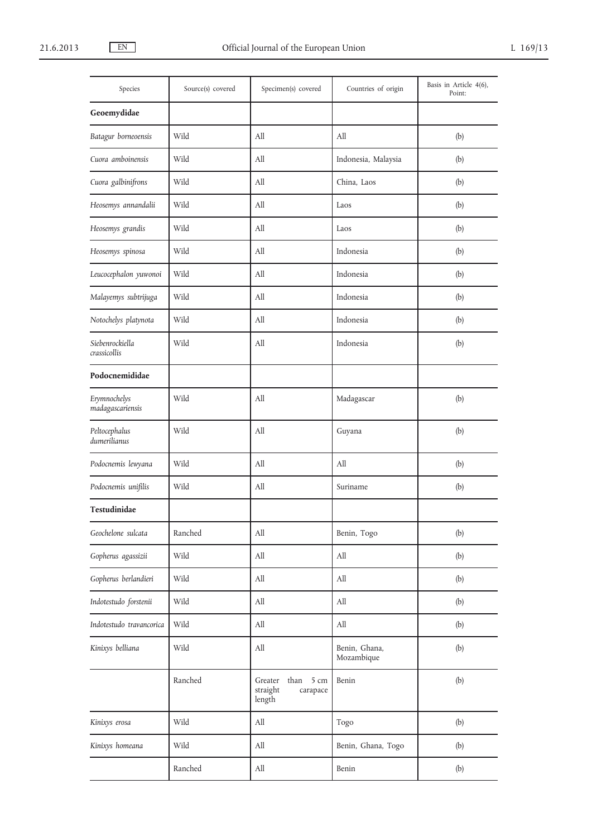| Species                          | Source(s) covered | Specimen(s) covered                                       | Countries of origin         | Basis in Article 4(6),<br>Point: |
|----------------------------------|-------------------|-----------------------------------------------------------|-----------------------------|----------------------------------|
| Geoemydidae                      |                   |                                                           |                             |                                  |
| Batagur borneoensis              | Wild              | All                                                       | All                         | (b)                              |
| Cuora amboinensis                | Wild              | All                                                       | Indonesia, Malaysia         | (b)                              |
| Cuora galbinifrons               | Wild              | All                                                       | China, Laos                 | (b)                              |
| Heosemys annandalii              | Wild              | All                                                       | Laos                        | (b)                              |
| Heosemys grandis                 | Wild              | All                                                       | Laos                        | (b)                              |
| Heosemys spinosa                 | Wild              | All                                                       | Indonesia                   | (b)                              |
| Leucocephalon yuwonoi            | Wild              | All                                                       | Indonesia                   | (b)                              |
| Malayemys subtrijuga             | Wild              | All                                                       | Indonesia                   | (b)                              |
| Notochelys platynota             | Wild              | All                                                       | Indonesia                   | (b)                              |
| Siebenrockiella<br>crassicollis  | Wild              | All                                                       | Indonesia                   | (b)                              |
| Podocnemididae                   |                   |                                                           |                             |                                  |
| Erymnochelys<br>madagascariensis | Wild              | All                                                       | Madagascar                  | (b)                              |
| Peltocephalus<br>dumerilianus    | Wild              | All                                                       | Guyana                      | (b)                              |
| Podocnemis lewyana               | Wild              | All                                                       | All                         | (b)                              |
| Podocnemis unifilis              | Wild              | All                                                       | Suriname                    | (b)                              |
| Testudinidae                     |                   |                                                           |                             |                                  |
| Geochelone sulcata               | Ranched           | $\rm All$                                                 | Benin, Togo                 | (b)                              |
| Gopherus agassizii               | Wild              | $\rm All$                                                 | All                         | (b)                              |
| Gopherus berlandieri             | Wild              | All                                                       | All                         | (b)                              |
| Indotestudo forstenii            | Wild              | All                                                       | All                         | (b)                              |
| Indotestudo travancorica         | Wild              | $\mathop{\mathrm{All}}\nolimits$                          | $\rm All$                   | (b)                              |
| Kinixys belliana                 | Wild              | $\mathop{\mathrm{All}}\nolimits$                          | Benin, Ghana,<br>Mozambique | (b)                              |
|                                  | Ranched           | Greater<br>than<br>5 cm<br>straight<br>carapace<br>length | Benin                       | (b)                              |
| Kinixys erosa                    | Wild              | All                                                       | Togo                        | (b)                              |
| Kinixys homeana                  | Wild              | $\mathop{\mathrm{All}}\nolimits$                          | Benin, Ghana, Togo          | (b)                              |
|                                  | Ranched           | $\mathop{\mathrm{All}}\nolimits$                          | Benin                       | (b)                              |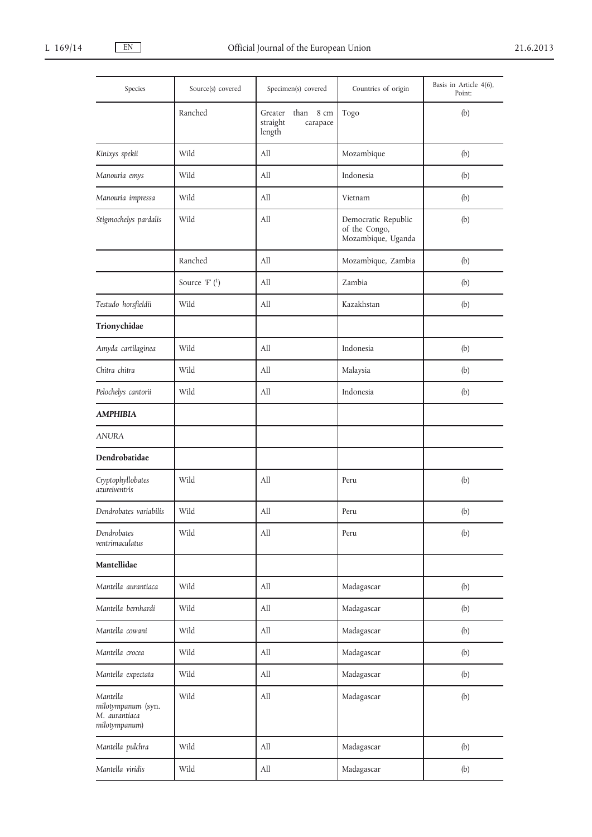| Species                                                          | Source(s) covered | Specimen(s) covered                                    | Countries of origin                                        | Basis in Article 4(6),<br>Point: |
|------------------------------------------------------------------|-------------------|--------------------------------------------------------|------------------------------------------------------------|----------------------------------|
|                                                                  | Ranched           | than 8 cm<br>Greater<br>straight<br>carapace<br>length | Togo                                                       | (b)                              |
| Kinixys spekii                                                   | Wild              | All                                                    | Mozambique                                                 | (b)                              |
| Manouria emys                                                    | Wild              | All                                                    | Indonesia                                                  | (b)                              |
| Manouria impressa                                                | Wild              | All                                                    | Vietnam                                                    | (b)                              |
| Stigmochelys pardalis                                            | Wild              | All                                                    | Democratic Republic<br>of the Congo,<br>Mozambique, Uganda | (b)                              |
|                                                                  | Ranched           | All                                                    | Mozambique, Zambia                                         | (b)                              |
|                                                                  | Source 'F' (1)    | All                                                    | Zambia                                                     | (b)                              |
| Testudo horsfieldii                                              | Wild              | All                                                    | Kazakhstan                                                 | (b)                              |
| Trionychidae                                                     |                   |                                                        |                                                            |                                  |
| Amyda cartilaginea                                               | Wild              | All                                                    | Indonesia                                                  | (b)                              |
| Chitra chitra                                                    | Wild              | All                                                    | Malaysia                                                   | (b)                              |
| Pelochelys cantorii                                              | Wild              | All                                                    | Indonesia                                                  | (b)                              |
| <b>AMPHIBIA</b>                                                  |                   |                                                        |                                                            |                                  |
| <b>ANURA</b>                                                     |                   |                                                        |                                                            |                                  |
| Dendrobatidae                                                    |                   |                                                        |                                                            |                                  |
| Cryptophyllobates<br>azureiventris                               | Wild              | All                                                    | Peru                                                       | (b)                              |
| Dendrobates variabilis                                           | Wild              | All                                                    | Peru                                                       | (b)                              |
| Dendrobates<br>ventrimaculatus                                   | Wild              | All                                                    | Peru                                                       | (b)                              |
| Mantellidae                                                      |                   |                                                        |                                                            |                                  |
| Mantella aurantiaca                                              | Wild              | All                                                    | Madagascar                                                 | (b)                              |
| Mantella bernhardi                                               | Wild              | All                                                    | Madagascar                                                 | (b)                              |
| Mantella cowani                                                  | Wild              | All                                                    | Madagascar                                                 | (b)                              |
| Mantella crocea                                                  | Wild              | All                                                    | Madagascar                                                 | (b)                              |
| Mantella expectata                                               | Wild              | All                                                    | Madagascar                                                 | (b)                              |
| Mantella<br>milotympanum (syn.<br>M. aurantiaca<br>milotympanum) | Wild              | All                                                    | Madagascar                                                 | (b)                              |
| Mantella pulchra                                                 | Wild              | All                                                    | Madagascar                                                 | (b)                              |
| Mantella viridis                                                 | Wild              | All                                                    | Madagascar                                                 | (b)                              |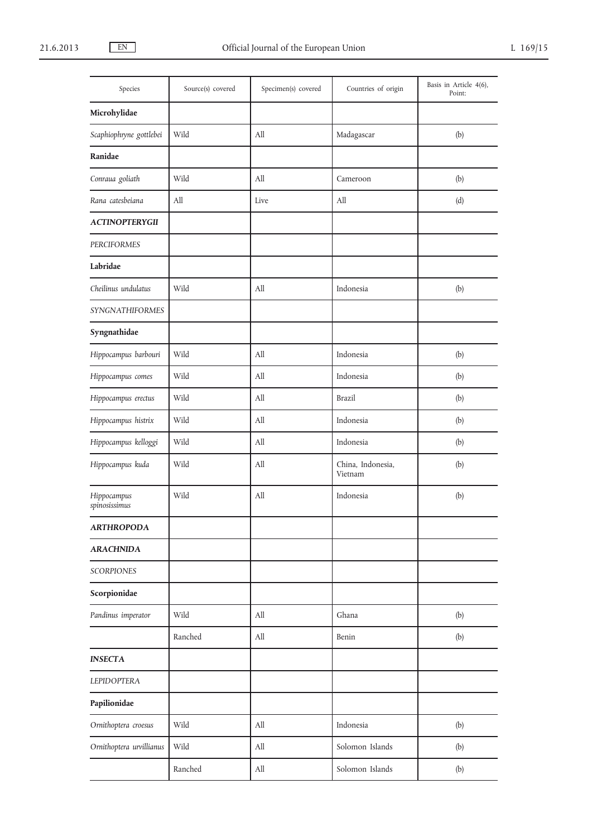| Species                      | Source(s) covered | Specimen(s) covered              | Countries of origin          | Basis in Article 4(6),<br>Point: |
|------------------------------|-------------------|----------------------------------|------------------------------|----------------------------------|
| Microhylidae                 |                   |                                  |                              |                                  |
| Scaphiophryne gottlebei      | Wild              | All                              | Madagascar                   | (b)                              |
| Ranidae                      |                   |                                  |                              |                                  |
| Conraua goliath              | Wild              | All                              | Cameroon                     | (b)                              |
| Rana catesbeiana             | All               | Live                             | All                          | (d)                              |
| <b>ACTINOPTERYGII</b>        |                   |                                  |                              |                                  |
| PERCIFORMES                  |                   |                                  |                              |                                  |
| Labridae                     |                   |                                  |                              |                                  |
| Cheilinus undulatus          | Wild              | All                              | Indonesia                    | (b)                              |
| SYNGNATHIFORMES              |                   |                                  |                              |                                  |
| Syngnathidae                 |                   |                                  |                              |                                  |
| Hippocampus barbouri         | Wild              | All                              | Indonesia                    | (b)                              |
| Hippocampus comes            | Wild              | All                              | Indonesia                    | (b)                              |
| Hippocampus erectus          | Wild              | All                              | Brazil                       | (b)                              |
| Hippocampus histrix          | Wild              | $\mathop{\mathrm{All}}\nolimits$ | Indonesia                    | (b)                              |
| Hippocampus kelloggi         | Wild              | All                              | Indonesia                    | (b)                              |
| Hippocampus kuda             | Wild              | All                              | China, Indonesia,<br>Vietnam | (b)                              |
| Hippocampus<br>spinosissimus | Wild              | All                              | Indonesia                    | (b)                              |
| <b>ARTHROPODA</b>            |                   |                                  |                              |                                  |
| <b>ARACHNIDA</b>             |                   |                                  |                              |                                  |
| <b>SCORPIONES</b>            |                   |                                  |                              |                                  |
| Scorpionidae                 |                   |                                  |                              |                                  |
| Pandinus imperator           | Wild              | All                              | Ghana                        | (b)                              |
|                              | Ranched           | All                              | Benin                        | (b)                              |
| <b>INSECTA</b>               |                   |                                  |                              |                                  |
| <b>LEPIDOPTERA</b>           |                   |                                  |                              |                                  |
| Papilionidae                 |                   |                                  |                              |                                  |
| Ornithoptera croesus         | Wild              | All                              | Indonesia                    | (b)                              |
| Ornithoptera urvillianus     | Wild              | $\mathop{\mathrm{All}}\nolimits$ | Solomon Islands              | (b)                              |
|                              | Ranched           | All                              | Solomon Islands              | (b)                              |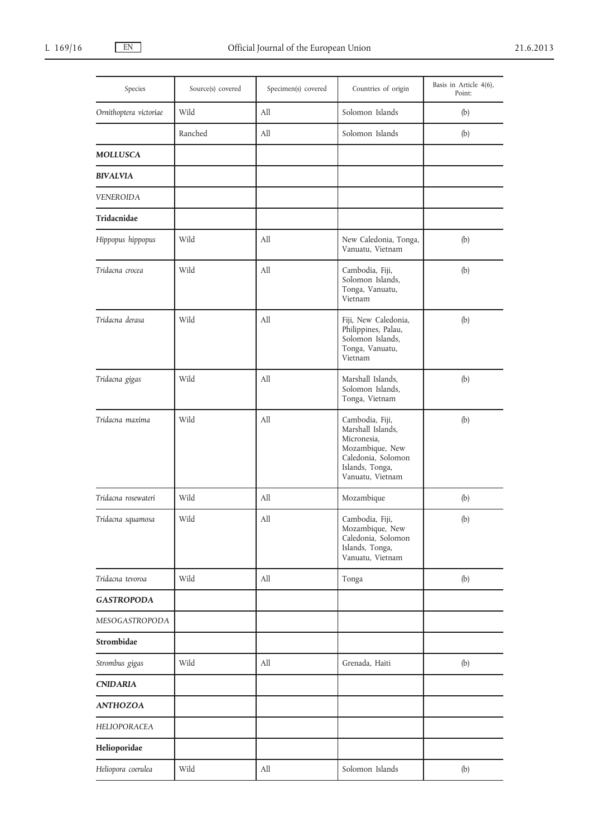| Species                | Source(s) covered | Specimen(s) covered              | Countries of origin                                                                                                                 | Basis in Article 4(6),<br>Point: |
|------------------------|-------------------|----------------------------------|-------------------------------------------------------------------------------------------------------------------------------------|----------------------------------|
| Ornithoptera victoriae | Wild              | All                              | Solomon Islands                                                                                                                     | (b)                              |
|                        | Ranched           | All                              | Solomon Islands                                                                                                                     | (b)                              |
| <b>MOLLUSCA</b>        |                   |                                  |                                                                                                                                     |                                  |
| <b>BIVALVIA</b>        |                   |                                  |                                                                                                                                     |                                  |
| <b>VENEROIDA</b>       |                   |                                  |                                                                                                                                     |                                  |
| Tridacnidae            |                   |                                  |                                                                                                                                     |                                  |
| Hippopus hippopus      | Wild              | All                              | New Caledonia, Tonga,<br>Vanuatu, Vietnam                                                                                           | (b)                              |
| Tridacna crocea        | Wild              | All                              | Cambodia, Fiji,<br>Solomon Islands,<br>Tonga, Vanuatu,<br>Vietnam                                                                   | (b)                              |
| Tridacna derasa        | Wild              | All                              | Fiji, New Caledonia,<br>Philippines, Palau,<br>Solomon Islands,<br>Tonga, Vanuatu,<br>Vietnam                                       | (b)                              |
| Tridacna gigas         | Wild              | All                              | Marshall Islands,<br>Solomon Islands,<br>Tonga, Vietnam                                                                             | (b)                              |
| Tridacna maxima        | Wild              | All                              | Cambodia, Fiji,<br>Marshall Islands,<br>Micronesia,<br>Mozambique, New<br>Caledonia, Solomon<br>Islands, Tonga,<br>Vanuatu, Vietnam | (b)                              |
| Tridacna rosewateri    | Wild              | All                              | Mozambique                                                                                                                          | (b)                              |
| Tridacna squamosa      | Wild              | $\mathop{\mathrm{All}}\nolimits$ | Cambodia, Fiji,<br>Mozambique, New<br>Caledonia, Solomon<br>Islands, Tonga,<br>Vanuatu, Vietnam                                     | (b)                              |
| Tridacna tevoroa       | Wild              | All                              | Tonga                                                                                                                               | (b)                              |
| <b>GASTROPODA</b>      |                   |                                  |                                                                                                                                     |                                  |
| MESOGASTROPODA         |                   |                                  |                                                                                                                                     |                                  |
| Strombidae             |                   |                                  |                                                                                                                                     |                                  |
| Strombus gigas         | Wild              | All                              | Grenada, Haiti                                                                                                                      | (b)                              |
| <b>CNIDARIA</b>        |                   |                                  |                                                                                                                                     |                                  |
| <b>ANTHOZOA</b>        |                   |                                  |                                                                                                                                     |                                  |
| HELIOPORACEA           |                   |                                  |                                                                                                                                     |                                  |
| Helioporidae           |                   |                                  |                                                                                                                                     |                                  |
| Heliopora coerulea     | Wild              | All                              | Solomon Islands                                                                                                                     | (b)                              |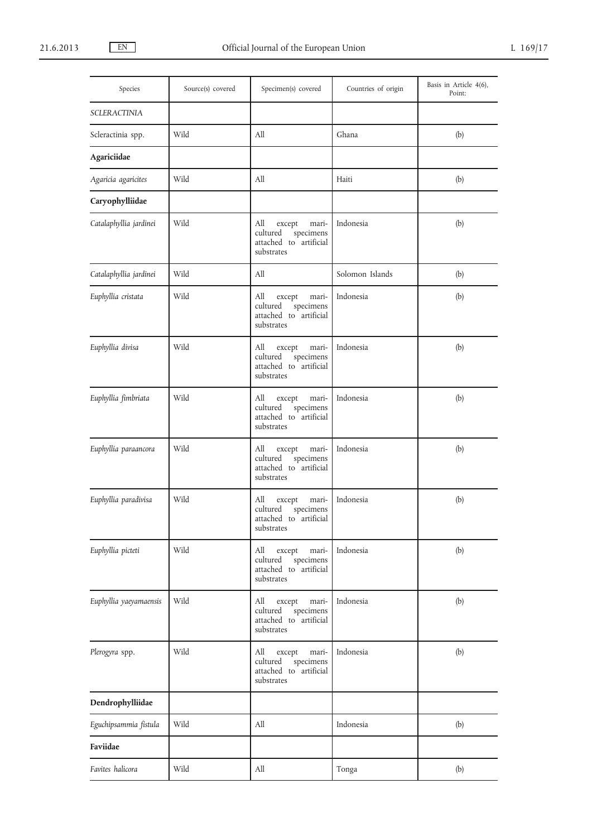| Species                | Source(s) covered | Specimen(s) covered                                                                     | Countries of origin | Basis in Article 4(6),<br>Point: |
|------------------------|-------------------|-----------------------------------------------------------------------------------------|---------------------|----------------------------------|
| SCLERACTINIA           |                   |                                                                                         |                     |                                  |
| Scleractinia spp.      | Wild              | All                                                                                     | Ghana               | (b)                              |
| Agariciidae            |                   |                                                                                         |                     |                                  |
| Agaricia agaricites    | Wild              | All                                                                                     | Haiti               | (b)                              |
| Caryophylliidae        |                   |                                                                                         |                     |                                  |
| Catalaphyllia jardinei | Wild              | All<br>except<br>mari-<br>specimens<br>cultured<br>attached to artificial<br>substrates | Indonesia           | (b)                              |
| Catalaphyllia jardinei | Wild              | All                                                                                     | Solomon Islands     | (b)                              |
| Euphyllia cristata     | Wild              | All<br>mari-<br>except<br>specimens<br>cultured<br>attached to artificial<br>substrates | Indonesia           | (b)                              |
| Euphyllia divisa       | Wild              | All<br>mari-<br>except<br>cultured<br>specimens<br>attached to artificial<br>substrates | Indonesia           | (b)                              |
| Euphyllia fimbriata    | Wild              | All<br>mari-<br>except<br>cultured<br>specimens<br>attached to artificial<br>substrates | Indonesia           | (b)                              |
| Euphyllia paraancora   | Wild              | All<br>except<br>mari-<br>cultured<br>specimens<br>attached to artificial<br>substrates | Indonesia           | (b)                              |
| Euphyllia paradivisa   | Wild              | All<br>except<br>mari-<br>cultured specimens<br>attached to artificial<br>substrates    | Indonesia           | (b)                              |
| Euphyllia picteti      | Wild              | All<br>except<br>mari-<br>cultured<br>specimens<br>attached to artificial<br>substrates | Indonesia           | (b)                              |
| Euphyllia yaeyamaensis | Wild              | All<br>except<br>mari-<br>specimens<br>cultured<br>attached to artificial<br>substrates | Indonesia           | (b)                              |
| Plerogyra spp.         | Wild              | All<br>mari-<br>except<br>cultured<br>specimens<br>attached to artificial<br>substrates | Indonesia           | (b)                              |
| Dendrophylliidae       |                   |                                                                                         |                     |                                  |
| Eguchipsammia fistula  | Wild              | All                                                                                     | Indonesia           | (b)                              |
| Faviidae               |                   |                                                                                         |                     |                                  |
| Favites halicora       | Wild              | All                                                                                     | Tonga               | (b)                              |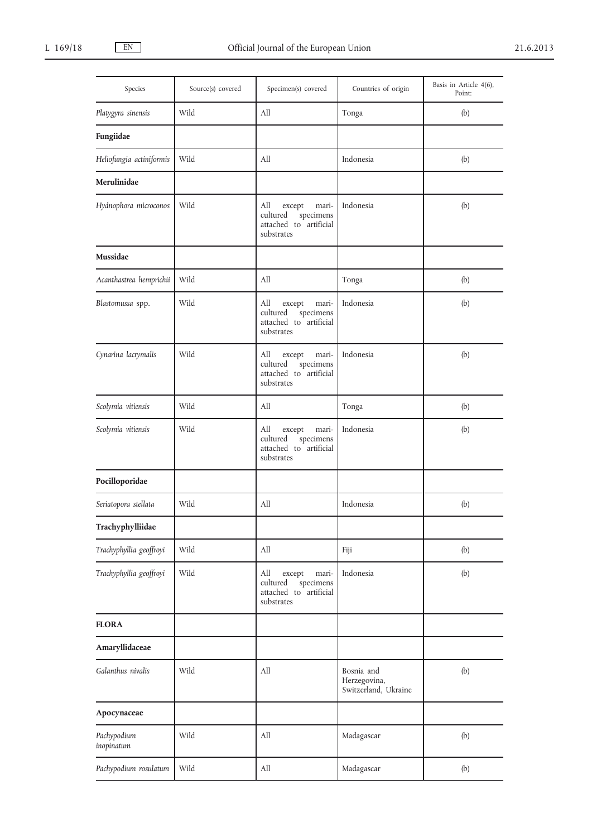| Species                   | Source(s) covered | Specimen(s) covered                                                                     | Countries of origin                                | Basis in Article 4(6),<br>Point: |
|---------------------------|-------------------|-----------------------------------------------------------------------------------------|----------------------------------------------------|----------------------------------|
| Platygyra sinensis        | Wild              | All                                                                                     | Tonga                                              | (b)                              |
| Fungiidae                 |                   |                                                                                         |                                                    |                                  |
| Heliofungia actiniformis  | Wild              | All                                                                                     | Indonesia                                          | (b)                              |
| Merulinidae               |                   |                                                                                         |                                                    |                                  |
| Hydnophora microconos     | Wild              | All<br>mari-<br>except<br>cultured<br>specimens<br>attached to artificial<br>substrates | Indonesia                                          | (b)                              |
| Mussidae                  |                   |                                                                                         |                                                    |                                  |
| Acanthastrea hemprichii   | Wild              | All                                                                                     | Tonga                                              | (b)                              |
| Blastomussa spp.          | Wild              | All<br>mari-<br>except<br>specimens<br>cultured<br>attached to artificial<br>substrates | Indonesia                                          | (b)                              |
| Cynarina lacrymalis       | Wild              | All<br>except<br>mari-<br>cultured<br>specimens<br>attached to artificial<br>substrates | Indonesia                                          | (b)                              |
| Scolymia vitiensis        | Wild              | All                                                                                     | Tonga                                              | (b)                              |
| Scolymia vitiensis        | Wild              | All<br>mari-<br>except<br>cultured<br>specimens<br>attached to artificial<br>substrates | Indonesia                                          | (b)                              |
| Pocilloporidae            |                   |                                                                                         |                                                    |                                  |
| Seriatopora stellata      | Wild              | All                                                                                     | Indonesia                                          | (b)                              |
| Trachyphylliidae          |                   |                                                                                         |                                                    |                                  |
| Trachyphyllia geoffroyi   | Wild              | All                                                                                     | Fiji                                               | (b)                              |
| Trachyphyllia geoffroyi   | Wild              | All<br>except<br>mari-<br>cultured<br>specimens<br>attached to artificial<br>substrates | Indonesia                                          | (b)                              |
| <b>FLORA</b>              |                   |                                                                                         |                                                    |                                  |
| Amaryllidaceae            |                   |                                                                                         |                                                    |                                  |
| Galanthus nivalis         | Wild              | All                                                                                     | Bosnia and<br>Herzegovina,<br>Switzerland, Ukraine | (b)                              |
| Apocynaceae               |                   |                                                                                         |                                                    |                                  |
| Pachypodium<br>inopinatum | Wild              | All                                                                                     | Madagascar                                         | (b)                              |
| Pachypodium rosulatum     | Wild              | All                                                                                     | Madagascar                                         | (b)                              |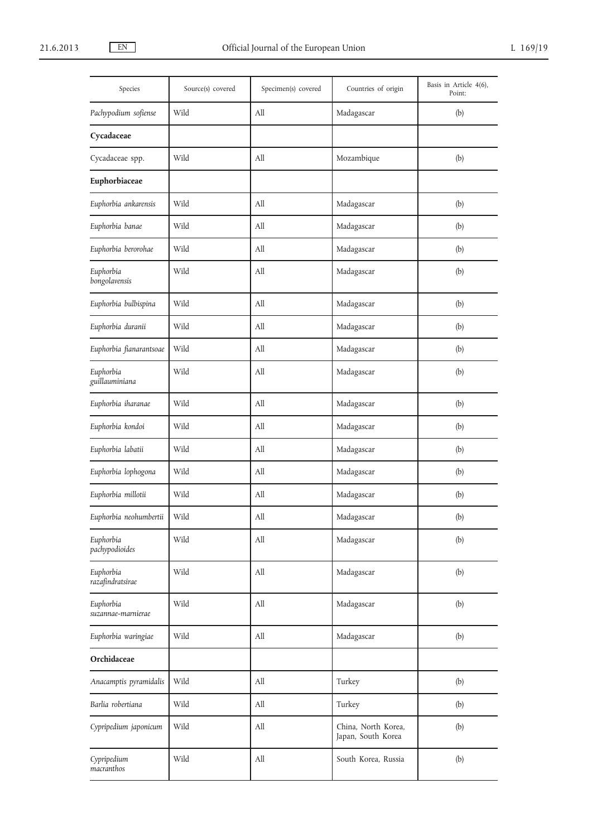| Species                         | Source(s) covered | Specimen(s) covered              | Countries of origin                       | Basis in Article 4(6),<br>Point: |
|---------------------------------|-------------------|----------------------------------|-------------------------------------------|----------------------------------|
| Pachypodium sofiense            | Wild              | All                              | Madagascar                                | (b)                              |
| Cycadaceae                      |                   |                                  |                                           |                                  |
| Cycadaceae spp.                 | Wild              | All                              | Mozambique                                | (b)                              |
| Euphorbiaceae                   |                   |                                  |                                           |                                  |
| Euphorbia ankarensis            | Wild              | All                              | Madagascar                                | (b)                              |
| Euphorbia banae                 | Wild              | All                              | Madagascar                                | (b)                              |
| Euphorbia berorohae             | Wild              | All                              | Madagascar                                | (b)                              |
| Euphorbia<br>bongolavensis      | Wild              | All                              | Madagascar                                | (b)                              |
| Euphorbia bulbispina            | Wild              | All                              | Madagascar                                | (b)                              |
| Euphorbia duranii               | Wild              | All                              | Madagascar                                | (b)                              |
| Euphorbia fianarantsoae         | Wild              | All                              | Madagascar                                | (b)                              |
| Euphorbia<br>guillauminiana     | Wild              | All                              | Madagascar                                | (b)                              |
| Euphorbia iharanae              | Wild              | All                              | Madagascar                                | (b)                              |
| Euphorbia kondoi                | Wild              | All                              | Madagascar                                | (b)                              |
| Euphorbia labatii               | Wild              | All                              | Madagascar                                | (b)                              |
| Euphorbia lophogona             | Wild              | All                              | Madagascar                                | (b)                              |
| Euphorbia millotii              | Wild              | All                              | Madagascar                                | (b)                              |
| Euphorbia neohumbertii          | Wild              | $\mathop{\mathrm{All}}\nolimits$ | Madagascar                                | (b)                              |
| Euphorbia<br>pachypodioides     | Wild              | All                              | Madagascar                                | (b)                              |
| Euphorbia<br>razafindratsirae   | Wild              | $\rm All$                        | Madagascar                                | (b)                              |
| Euphorbia<br>suzannae-marnierae | Wild              | All                              | Madagascar                                | (b)                              |
| Euphorbia waringiae             | Wild              | All                              | Madagascar                                | (b)                              |
| Orchidaceae                     |                   |                                  |                                           |                                  |
| Anacamptis pyramidalis          | Wild              | All                              | Turkey                                    | (b)                              |
| Barlia robertiana               | Wild              | All                              | Turkey                                    | (b)                              |
| Cypripedium japonicum           | Wild              | $\rm All$                        | China, North Korea,<br>Japan, South Korea | (b)                              |
| Cypripedium<br>macranthos       | Wild              | All                              | South Korea, Russia                       | (b)                              |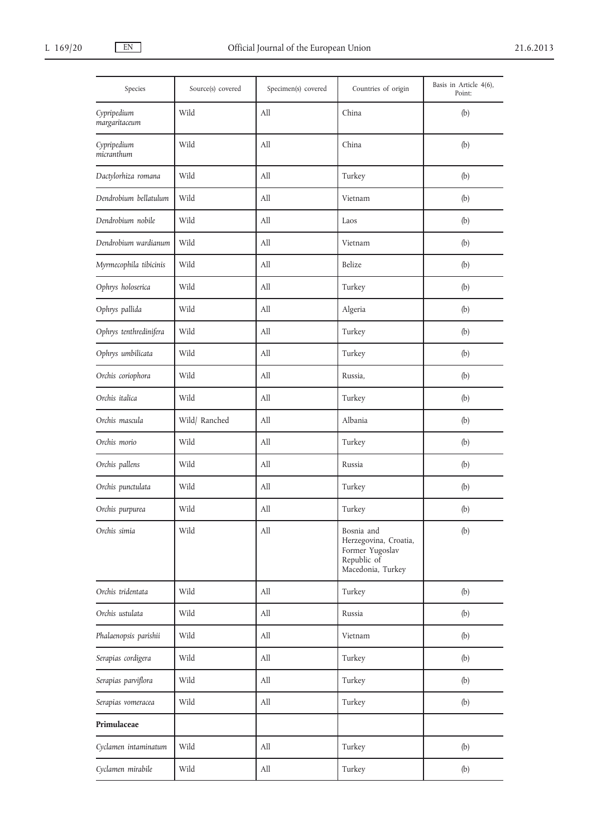| Species                      | Source(s) covered | Specimen(s) covered | Countries of origin                                                                        | Basis in Article 4(6),<br>Point: |
|------------------------------|-------------------|---------------------|--------------------------------------------------------------------------------------------|----------------------------------|
| Cypripedium<br>margaritaceum | Wild              | All                 | China                                                                                      | (b)                              |
| Cypripedium<br>micranthum    | Wild              | All                 | China                                                                                      | (b)                              |
| Dactylorhiza romana          | Wild              | All                 | Turkey                                                                                     | (b)                              |
| Dendrobium bellatulum        | Wild              | All                 | Vietnam                                                                                    | (b)                              |
| Dendrobium nobile            | Wild              | All                 | Laos                                                                                       | (b)                              |
| Dendrobium wardianum         | Wild              | All                 | Vietnam                                                                                    | (b)                              |
| Myrmecophila tibicinis       | Wild              | All                 | Belize                                                                                     | (b)                              |
| Ophrys holoserica            | Wild              | All                 | Turkey                                                                                     | (b)                              |
| Ophrys pallida               | Wild              | All                 | Algeria                                                                                    | (b)                              |
| Ophrys tenthredinifera       | Wild              | All                 | Turkey                                                                                     | (b)                              |
| Ophrys umbilicata            | Wild              | All                 | Turkey                                                                                     | (b)                              |
| Orchis coriophora            | Wild              | All                 | Russia,                                                                                    | (b)                              |
| Orchis italica               | Wild              | All                 | Turkey                                                                                     | (b)                              |
| Orchis mascula               | Wild/Ranched      | All                 | Albania                                                                                    | (b)                              |
| Orchis morio                 | Wild              | All                 | Turkey                                                                                     | (b)                              |
| Orchis pallens               | Wild              | All                 | Russia                                                                                     | (b)                              |
| Orchis punctulata            | Wild              | All                 | Turkey                                                                                     | (b)                              |
| Orchis purpurea              | Wild              | All                 | Turkey                                                                                     | (b)                              |
| Orchis simia                 | Wild              | All                 | Bosnia and<br>Herzegovina, Croatia,<br>Former Yugoslav<br>Republic of<br>Macedonia, Turkey | (b)                              |
| Orchis tridentata            | Wild              | All                 | Turkey                                                                                     | (b)                              |
| Orchis ustulata              | Wild              | All                 | Russia                                                                                     | (b)                              |
| Phalaenopsis parishii        | Wild              | All                 | Vietnam                                                                                    | (b)                              |
| Serapias cordigera           | Wild              | All                 | Turkey                                                                                     | (b)                              |
| Serapias parviflora          | Wild              | All                 | Turkey                                                                                     | (b)                              |
| Serapias vomeracea           | Wild              | All                 | Turkey                                                                                     | (b)                              |
| Primulaceae                  |                   |                     |                                                                                            |                                  |
| Cyclamen intaminatum         | Wild              | All                 | Turkey                                                                                     | (b)                              |
| Cyclamen mirabile            | Wild              | All                 | Turkey                                                                                     | (b)                              |